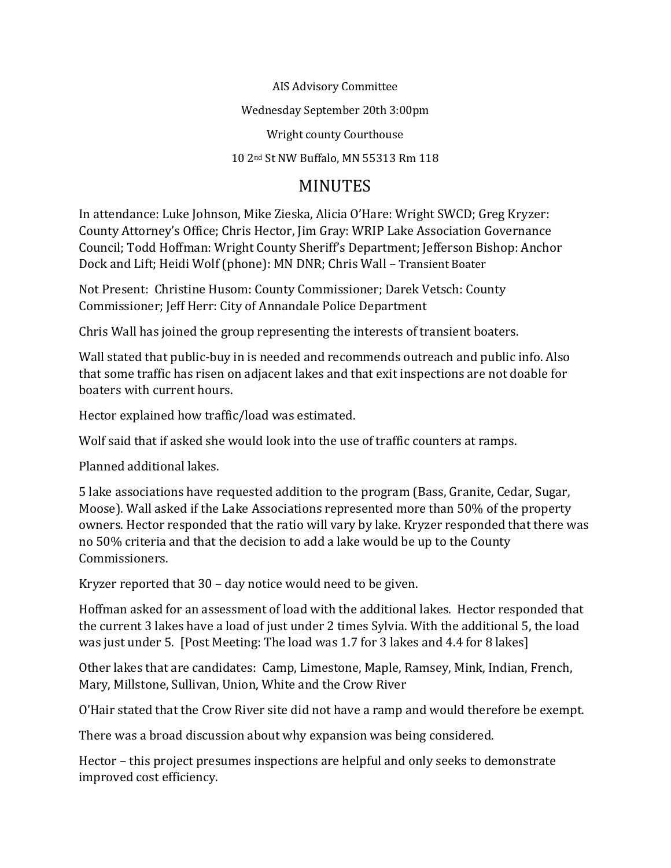AIS Advisory Committee

Wednesday September 20th 3:00pm

Wright county Courthouse

10 2nd St NW Buffalo, MN 55313 Rm 118

## MINUTES

In attendance: Luke Johnson, Mike Zieska, Alicia O'Hare: Wright SWCD; Greg Kryzer: County Attorney's Office; Chris Hector, Jim Gray: WRIP Lake Association Governance Council; Todd Hoffman: Wright County Sheriff's Department; Jefferson Bishop: Anchor Dock and Lift; Heidi Wolf (phone): MN DNR; Chris Wall – [Transient](mailto:cwall@viet-usa.com) Boater

Not Present: Christine Husom: County Commissioner; Darek Vetsch: County Commissioner; Jeff Herr: City of Annandale Police Department

Chris Wall has joined the group representing the interests of transient boaters.

Wall stated that public-buy in is needed and recommends outreach and public info. Also that some traffic has risen on adjacent lakes and that exit inspections are not doable for boaters with current hours.

Hector explained how traffic/load was estimated.

Wolf said that if asked she would look into the use of traffic counters at ramps.

Planned additional lakes.

5 lake associations have requested addition to the program (Bass, Granite, Cedar, Sugar, Moose). Wall asked if the Lake Associations represented more than 50% of the property owners. Hector responded that the ratio will vary by lake. Kryzer responded that there was no 50% criteria and that the decision to add a lake would be up to the County Commissioners.

Kryzer reported that 30 – day notice would need to be given.

Hoffman asked for an assessment of load with the additional lakes. Hector responded that the current 3 lakes have a load of just under 2 times Sylvia. With the additional 5, the load was just under 5. [Post Meeting: The load was 1.7 for 3 lakes and 4.4 for 8 lakes]

Other lakes that are candidates: Camp, Limestone, Maple, Ramsey, Mink, Indian, French, Mary, Millstone, Sullivan, Union, White and the Crow River

O'Hair stated that the Crow River site did not have a ramp and would therefore be exempt.

There was a broad discussion about why expansion was being considered.

Hector – this project presumes inspections are helpful and only seeks to demonstrate improved cost efficiency.